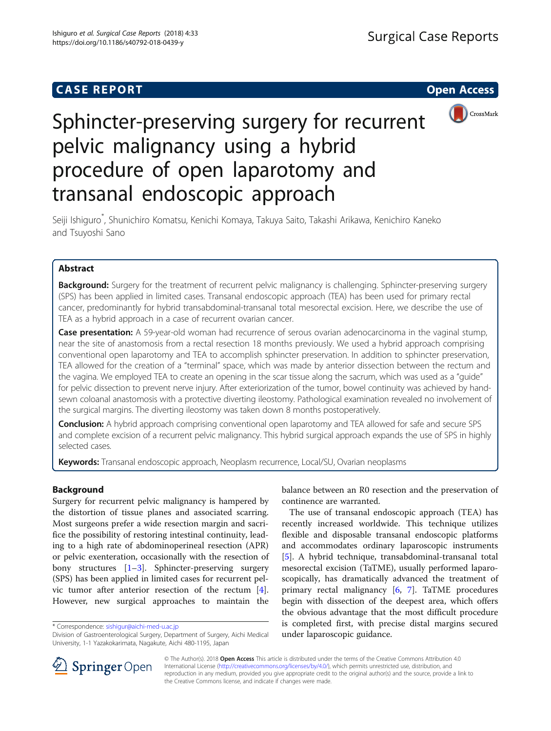# **CASE REPORT CASE REPORT CASE REPORT**



# Sphincter-preserving surgery for recurrent pelvic malignancy using a hybrid procedure of open laparotomy and transanal endoscopic approach

Seiji Ishiguro\* , Shunichiro Komatsu, Kenichi Komaya, Takuya Saito, Takashi Arikawa, Kenichiro Kaneko and Tsuyoshi Sano

# Abstract

Background: Surgery for the treatment of recurrent pelvic malignancy is challenging. Sphincter-preserving surgery (SPS) has been applied in limited cases. Transanal endoscopic approach (TEA) has been used for primary rectal cancer, predominantly for hybrid transabdominal-transanal total mesorectal excision. Here, we describe the use of TEA as a hybrid approach in a case of recurrent ovarian cancer.

Case presentation: A 59-year-old woman had recurrence of serous ovarian adenocarcinoma in the vaginal stump, near the site of anastomosis from a rectal resection 18 months previously. We used a hybrid approach comprising conventional open laparotomy and TEA to accomplish sphincter preservation. In addition to sphincter preservation, TEA allowed for the creation of a "terminal" space, which was made by anterior dissection between the rectum and the vagina. We employed TEA to create an opening in the scar tissue along the sacrum, which was used as a "guide" for pelvic dissection to prevent nerve injury. After exteriorization of the tumor, bowel continuity was achieved by handsewn coloanal anastomosis with a protective diverting ileostomy. Pathological examination revealed no involvement of the surgical margins. The diverting ileostomy was taken down 8 months postoperatively.

**Conclusion:** A hybrid approach comprising conventional open laparotomy and TEA allowed for safe and secure SPS and complete excision of a recurrent pelvic malignancy. This hybrid surgical approach expands the use of SPS in highly selected cases.

Keywords: Transanal endoscopic approach, Neoplasm recurrence, Local/SU, Ovarian neoplasms

# Background

Surgery for recurrent pelvic malignancy is hampered by the distortion of tissue planes and associated scarring. Most surgeons prefer a wide resection margin and sacrifice the possibility of restoring intestinal continuity, leading to a high rate of abdominoperineal resection (APR) or pelvic exenteration, occasionally with the resection of bony structures [\[1](#page-3-0)–[3](#page-3-0)]. Sphincter-preserving surgery (SPS) has been applied in limited cases for recurrent pelvic tumor after anterior resection of the rectum [\[4](#page-3-0)]. However, new surgical approaches to maintain the

\* Correspondence: [sishigur@aichi-med-u.ac.jp](mailto:sishigur@aichi-med-u.ac.jp)

balance between an R0 resection and the preservation of continence are warranted.

The use of transanal endoscopic approach (TEA) has recently increased worldwide. This technique utilizes flexible and disposable transanal endoscopic platforms and accommodates ordinary laparoscopic instruments [[5\]](#page-3-0). A hybrid technique, transabdominal-transanal total mesorectal excision (TaTME), usually performed laparoscopically, has dramatically advanced the treatment of primary rectal malignancy [\[6](#page-3-0), [7](#page-3-0)]. TaTME procedures begin with dissection of the deepest area, which offers the obvious advantage that the most difficult procedure is completed first, with precise distal margins secured under laparoscopic guidance.



© The Author(s). 2018 Open Access This article is distributed under the terms of the Creative Commons Attribution 4.0 International License ([http://creativecommons.org/licenses/by/4.0/\)](http://creativecommons.org/licenses/by/4.0/), which permits unrestricted use, distribution, and reproduction in any medium, provided you give appropriate credit to the original author(s) and the source, provide a link to the Creative Commons license, and indicate if changes were made.

Division of Gastroenterological Surgery, Department of Surgery, Aichi Medical University, 1-1 Yazakokarimata, Nagakute, Aichi 480-1195, Japan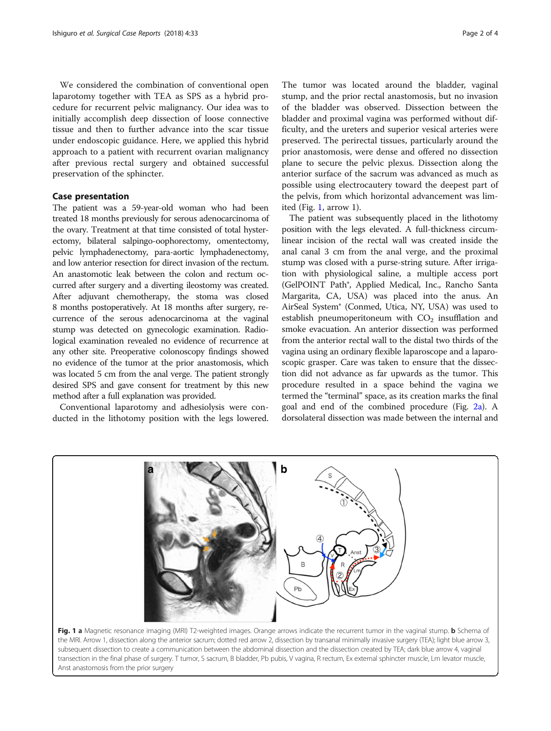<span id="page-1-0"></span>We considered the combination of conventional open laparotomy together with TEA as SPS as a hybrid procedure for recurrent pelvic malignancy. Our idea was to initially accomplish deep dissection of loose connective tissue and then to further advance into the scar tissue under endoscopic guidance. Here, we applied this hybrid approach to a patient with recurrent ovarian malignancy after previous rectal surgery and obtained successful preservation of the sphincter.

## Case presentation

The patient was a 59-year-old woman who had been treated 18 months previously for serous adenocarcinoma of the ovary. Treatment at that time consisted of total hysterectomy, bilateral salpingo-oophorectomy, omentectomy, pelvic lymphadenectomy, para-aortic lymphadenectomy, and low anterior resection for direct invasion of the rectum. An anastomotic leak between the colon and rectum occurred after surgery and a diverting ileostomy was created. After adjuvant chemotherapy, the stoma was closed 8 months postoperatively. At 18 months after surgery, recurrence of the serous adenocarcinoma at the vaginal stump was detected on gynecologic examination. Radiological examination revealed no evidence of recurrence at any other site. Preoperative colonoscopy findings showed no evidence of the tumor at the prior anastomosis, which was located 5 cm from the anal verge. The patient strongly desired SPS and gave consent for treatment by this new method after a full explanation was provided.

Conventional laparotomy and adhesiolysis were conducted in the lithotomy position with the legs lowered.

The tumor was located around the bladder, vaginal stump, and the prior rectal anastomosis, but no invasion of the bladder was observed. Dissection between the bladder and proximal vagina was performed without difficulty, and the ureters and superior vesical arteries were preserved. The perirectal tissues, particularly around the prior anastomosis, were dense and offered no dissection plane to secure the pelvic plexus. Dissection along the anterior surface of the sacrum was advanced as much as possible using electrocautery toward the deepest part of the pelvis, from which horizontal advancement was limited (Fig. 1, arrow 1).

The patient was subsequently placed in the lithotomy position with the legs elevated. A full-thickness circumlinear incision of the rectal wall was created inside the anal canal 3 cm from the anal verge, and the proximal stump was closed with a purse-string suture. After irrigation with physiological saline, a multiple access port (GelPOINT Path®, Applied Medical, Inc., Rancho Santa Margarita, CA, USA) was placed into the anus. An AirSeal System® (Conmed, Utica, NY, USA) was used to establish pneumoperitoneum with  $CO<sub>2</sub>$  insufflation and smoke evacuation. An anterior dissection was performed from the anterior rectal wall to the distal two thirds of the vagina using an ordinary flexible laparoscope and a laparoscopic grasper. Care was taken to ensure that the dissection did not advance as far upwards as the tumor. This procedure resulted in a space behind the vagina we termed the "terminal" space, as its creation marks the final goal and end of the combined procedure (Fig. [2a](#page-2-0)). A dorsolateral dissection was made between the internal and



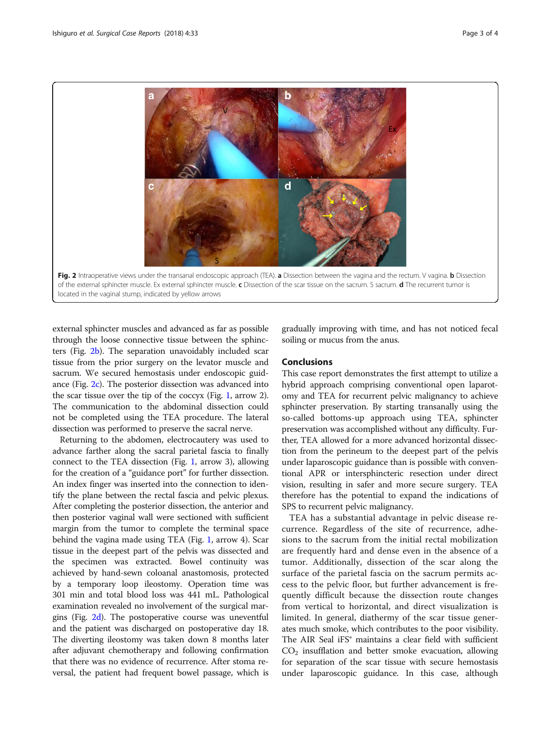<span id="page-2-0"></span>

located in the vaginal stump, indicated by yellow arrows

external sphincter muscles and advanced as far as possible through the loose connective tissue between the sphincters (Fig. 2b). The separation unavoidably included scar tissue from the prior surgery on the levator muscle and sacrum. We secured hemostasis under endoscopic guidance (Fig. 2c). The posterior dissection was advanced into the scar tissue over the tip of the coccyx (Fig. [1,](#page-1-0) arrow 2). The communication to the abdominal dissection could not be completed using the TEA procedure. The lateral dissection was performed to preserve the sacral nerve.

Returning to the abdomen, electrocautery was used to advance farther along the sacral parietal fascia to finally connect to the TEA dissection (Fig. [1,](#page-1-0) arrow 3), allowing for the creation of a "guidance port" for further dissection. An index finger was inserted into the connection to identify the plane between the rectal fascia and pelvic plexus. After completing the posterior dissection, the anterior and then posterior vaginal wall were sectioned with sufficient margin from the tumor to complete the terminal space behind the vagina made using TEA (Fig. [1](#page-1-0), arrow 4). Scar tissue in the deepest part of the pelvis was dissected and the specimen was extracted. Bowel continuity was achieved by hand-sewn coloanal anastomosis, protected by a temporary loop ileostomy. Operation time was 301 min and total blood loss was 441 mL. Pathological examination revealed no involvement of the surgical margins (Fig. 2d). The postoperative course was uneventful and the patient was discharged on postoperative day 18. The diverting ileostomy was taken down 8 months later after adjuvant chemotherapy and following confirmation that there was no evidence of recurrence. After stoma reversal, the patient had frequent bowel passage, which is

gradually improving with time, and has not noticed fecal soiling or mucus from the anus.

# Conclusions

This case report demonstrates the first attempt to utilize a hybrid approach comprising conventional open laparotomy and TEA for recurrent pelvic malignancy to achieve sphincter preservation. By starting transanally using the so-called bottoms-up approach using TEA, sphincter preservation was accomplished without any difficulty. Further, TEA allowed for a more advanced horizontal dissection from the perineum to the deepest part of the pelvis under laparoscopic guidance than is possible with conventional APR or intersphincteric resection under direct vision, resulting in safer and more secure surgery. TEA therefore has the potential to expand the indications of SPS to recurrent pelvic malignancy.

TEA has a substantial advantage in pelvic disease recurrence. Regardless of the site of recurrence, adhesions to the sacrum from the initial rectal mobilization are frequently hard and dense even in the absence of a tumor. Additionally, dissection of the scar along the surface of the parietal fascia on the sacrum permits access to the pelvic floor, but further advancement is frequently difficult because the dissection route changes from vertical to horizontal, and direct visualization is limited. In general, diathermy of the scar tissue generates much smoke, which contributes to the poor visibility. The AIR Seal iFS® maintains a clear field with sufficient  $CO<sub>2</sub>$  insufflation and better smoke evacuation, allowing for separation of the scar tissue with secure hemostasis under laparoscopic guidance. In this case, although